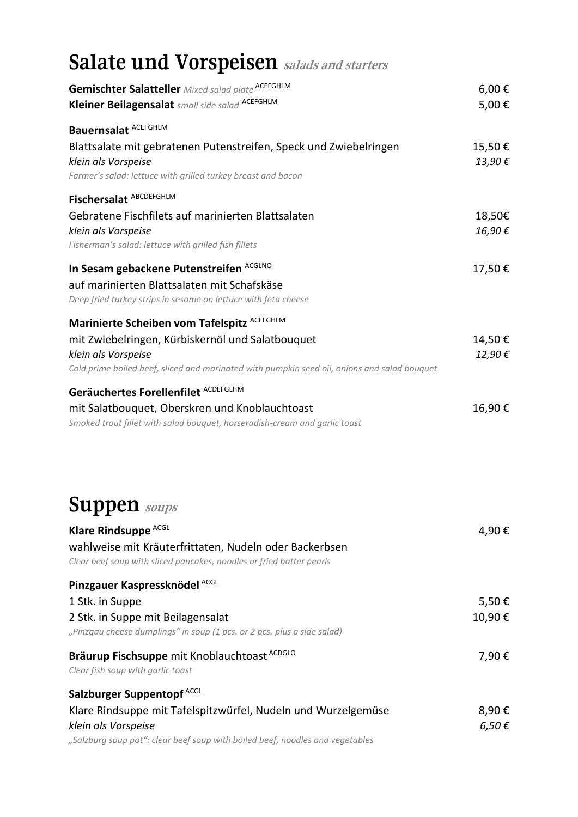#### **Salate und Vorspeisen salads and starters**

| <b>Gemischter Salatteller</b> Mixed salad plate ACEFGHLM<br>Kleiner Beilagensalat small side salad ACEFGHLM                                                                                                            | 6,00€<br>5,00€   |
|------------------------------------------------------------------------------------------------------------------------------------------------------------------------------------------------------------------------|------------------|
| <b>Bauernsalat ACEFGHLM</b><br>Blattsalate mit gebratenen Putenstreifen, Speck und Zwiebelringen<br>klein als Vorspeise<br>Farmer's salad: lettuce with grilled turkey breast and bacon                                | 15,50€<br>13,90€ |
| Fischersalat ABCDEFGHLM<br>Gebratene Fischfilets auf marinierten Blattsalaten<br>klein als Vorspeise<br>Fisherman's salad: lettuce with grilled fish fillets                                                           | 18,50€<br>16,90€ |
| In Sesam gebackene Putenstreifen ACGLNO<br>auf marinierten Blattsalaten mit Schafskäse<br>Deep fried turkey strips in sesame on lettuce with feta cheese                                                               | 17,50€           |
| Marinierte Scheiben vom Tafelspitz ACEFGHLM<br>mit Zwiebelringen, Kürbiskernöl und Salatbouquet<br>klein als Vorspeise<br>Cold prime boiled beef, sliced and marinated with pumpkin seed oil, onions and salad bouquet | 14,50€<br>12,90€ |
| Geräuchertes Forellenfilet ACDEFGLHM<br>mit Salatbouquet, Oberskren und Knoblauchtoast<br>Smoked trout fillet with salad bouquet, horseradish-cream and garlic toast                                                   | 16,90€           |
| <b>Suppen</b> soups                                                                                                                                                                                                    |                  |
| Klare Rindsuppe <sup>ACGL</sup><br>wahlweise mit Kräuterfrittaten, Nudeln oder Backerbsen<br>Clear beef soup with sliced pancakes, noodles or fried batter pearls                                                      | 4,90€            |
| Pinzgauer Kaspressknödel ACGL<br>1 Stk. in Suppe<br>2 Stk. in Suppe mit Beilagensalat<br>"Pinzgau cheese dumplings" in soup (1 pcs. or 2 pcs. plus a side salad)                                                       | 5,50€<br>10,90€  |
| Bräurup Fischsuppe mit Knoblauchtoast ACDGLO<br>Clear fish soup with garlic toast                                                                                                                                      | 7,90€            |
| Salzburger Suppentopf <sup>ACGL</sup><br>Klare Rindsuppe mit Tafelspitzwürfel, Nudeln und Wurzelgemüse<br>klein als Vorspeise<br>"Salzburg soup pot": clear beef soup with boiled beef, noodles and vegetables         | 8,90€<br>6,50€   |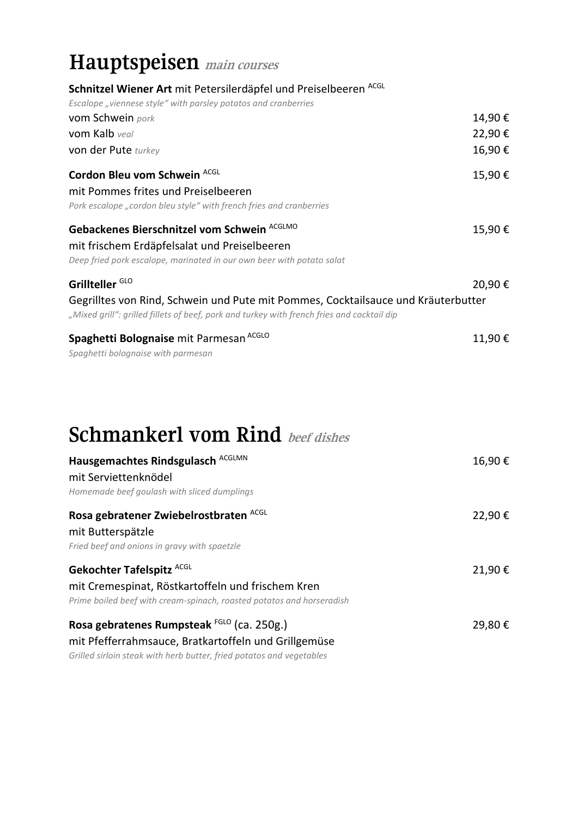#### **Hauptspeisen main courses**

| Schnitzel Wiener Art mit Petersilerdäpfel und Preiselbeeren ACGL                                                                                                                |        |
|---------------------------------------------------------------------------------------------------------------------------------------------------------------------------------|--------|
| Escalope "viennese style" with parsley potatos and cranberries                                                                                                                  |        |
| vom Schwein pork                                                                                                                                                                | 14,90€ |
| vom Kalb veal                                                                                                                                                                   | 22,90€ |
| von der Pute turkey                                                                                                                                                             | 16,90€ |
| Cordon Bleu vom Schwein ACGL                                                                                                                                                    | 15,90€ |
| mit Pommes frites und Preiselbeeren                                                                                                                                             |        |
| Pork escalope "cordon bleu style" with french fries and cranberries                                                                                                             |        |
| Gebackenes Bierschnitzel vom Schwein ACGLMO                                                                                                                                     | 15,90€ |
| mit frischem Erdäpfelsalat und Preiselbeeren                                                                                                                                    |        |
| Deep fried pork escalope, marinated in our own beer with potato salat                                                                                                           |        |
| Grillteller <sup>GLO</sup>                                                                                                                                                      | 20,90€ |
| Gegrilltes von Rind, Schwein und Pute mit Pommes, Cocktailsauce und Kräuterbutter<br>"Mixed grill": grilled fillets of beef, pork and turkey with french fries and cocktail dip |        |
| Spaghetti Bolognaise mit Parmesan <sup>ACGLO</sup>                                                                                                                              | 11,90€ |
| Spaghetti bolognaise with parmesan                                                                                                                                              |        |
|                                                                                                                                                                                 |        |
| <b>Schmankerl vom Rind</b> beef dishes                                                                                                                                          |        |
| Hausgemachtes Rindsgulasch ACGLMN<br>mit Serviettenknödel                                                                                                                       | 16,90€ |

*Homemade beef goulash with sliced dumplings* 

| Rosa gebratener Zwiebelrostbraten ACGL<br>mit Butterspätzle<br>Fried beef and onions in gravy with spaetzle                                             | 22,90€ |
|---------------------------------------------------------------------------------------------------------------------------------------------------------|--------|
| Gekochter Tafelspitz ACGL<br>mit Cremespinat, Röstkartoffeln und frischem Kren<br>Prime boiled beef with cream-spinach, roasted potatos and horseradish | 21,90€ |
| Rosa gebratenes Rumpsteak FGLO (ca. 250g.)<br>mit Pfefferrahmsauce, Bratkartoffeln und Grillgemüse                                                      | 29,80€ |

*Grilled sirloin steak with herb butter, fried potatos and vegetables*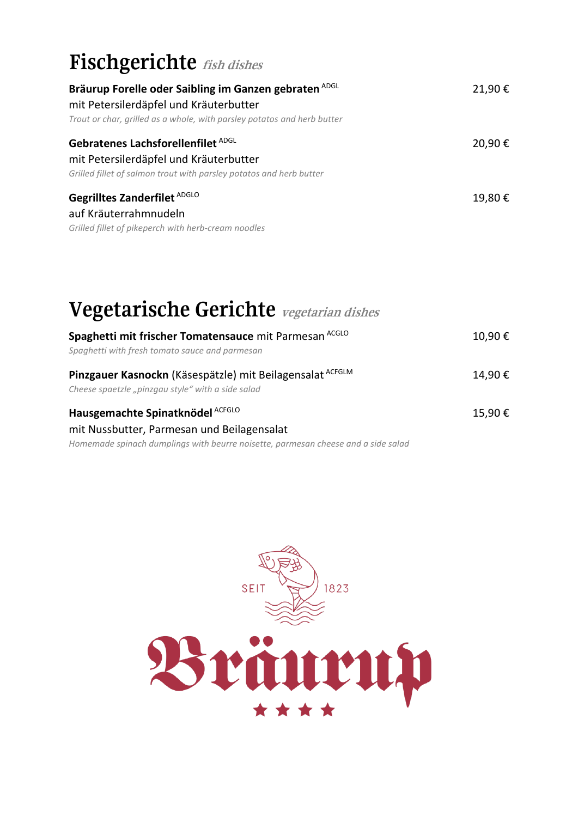## **Fischgerichte fish dishes**

| Bräurup Forelle oder Saibling im Ganzen gebraten ADGL<br>mit Petersilerdäpfel und Kräuterbutter<br>Trout or char, grilled as a whole, with parsley potatos and herb butter | 21,90€ |
|----------------------------------------------------------------------------------------------------------------------------------------------------------------------------|--------|
| Gebratenes Lachsforellenfilet ADGL<br>mit Petersilerdäpfel und Kräuterbutter<br>Grilled fillet of salmon trout with parsley potatos and herb butter                        | 20,90€ |
| Gegrilltes Zanderfilet ADGLO<br>auf Kräuterrahmnudeln<br>Grilled fillet of pikeperch with herb-cream noodles                                                               | 19,80€ |

# **Vegetarische Gerichte vegetarian dishes**

| Spaghetti mit frischer Tomatensauce mit Parmesan ACGLO<br>Spaghetti with fresh tomato sauce and parmesan       | 10,90€ |
|----------------------------------------------------------------------------------------------------------------|--------|
| Pinzgauer Kasnockn (Käsespätzle) mit Beilagensalat ACFGLM<br>Cheese spaetzle "pinzgau style" with a side salad | 14,90€ |
| Hausgemachte Spinatknödel ACFGLO<br>mit Nussbutter, Parmesan und Beilagensalat                                 | 15,90€ |
| Homemade spinach dumplings with beurre noisette, parmesan cheese and a side salad                              |        |